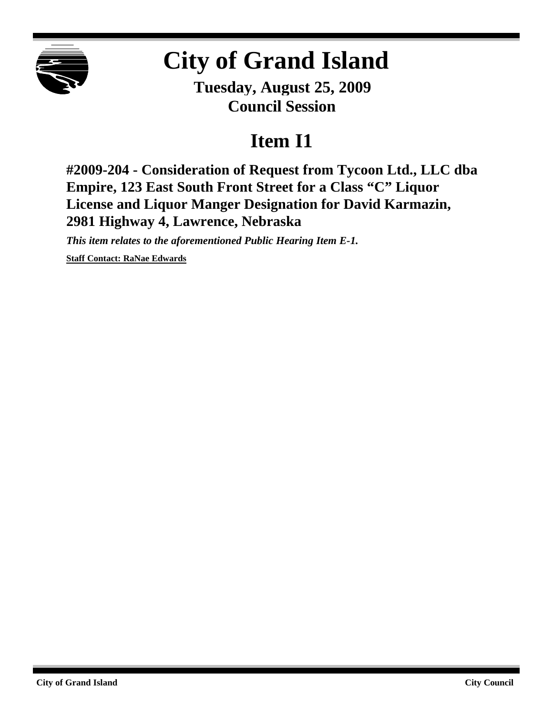

## **City of Grand Island**

**Tuesday, August 25, 2009 Council Session**

## **Item I1**

**#2009-204 - Consideration of Request from Tycoon Ltd., LLC dba Empire, 123 East South Front Street for a Class "C" Liquor License and Liquor Manger Designation for David Karmazin, 2981 Highway 4, Lawrence, Nebraska**

*This item relates to the aforementioned Public Hearing Item E-1.*

**Staff Contact: RaNae Edwards**